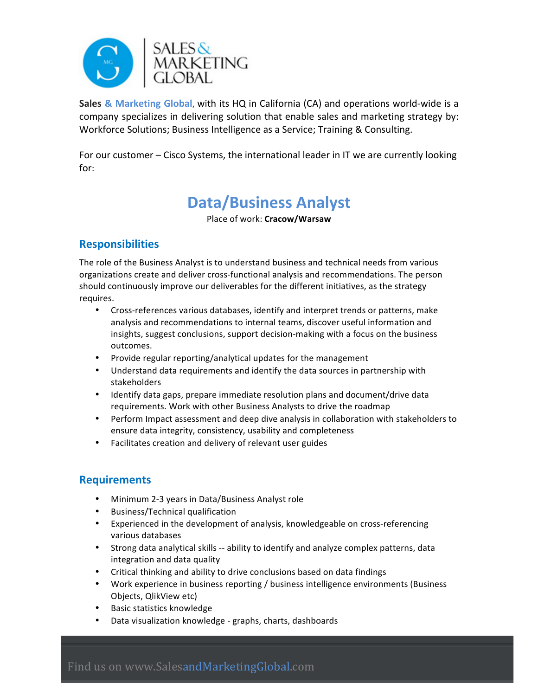

**Sales & Marketing Global, with its HQ in California (CA) and operations world-wide is a** company specializes in delivering solution that enable sales and marketing strategy by: Workforce Solutions; Business Intelligence as a Service; Training & Consulting.

For our customer – Cisco Systems, the international leader in IT we are currently looking for:

## **Data/Business Analyst**

Place of work: **Cracow/Warsaw**

## **Responsibilities**

The role of the Business Analyst is to understand business and technical needs from various organizations create and deliver cross-functional analysis and recommendations. The person should continuously improve our deliverables for the different initiatives, as the strategy requires. 

- Cross-references various databases, identify and interpret trends or patterns, make analysis and recommendations to internal teams, discover useful information and insights, suggest conclusions, support decision-making with a focus on the business outcomes.
- Provide regular reporting/analytical updates for the management
- Understand data requirements and identify the data sources in partnership with stakeholders
- Identify data gaps, prepare immediate resolution plans and document/drive data requirements. Work with other Business Analysts to drive the roadmap
- Perform Impact assessment and deep dive analysis in collaboration with stakeholders to ensure data integrity, consistency, usability and completeness
- Facilitates creation and delivery of relevant user guides

## **Requirements**

- Minimum 2-3 years in Data/Business Analyst role
- Business/Technical qualification
- Experienced in the development of analysis, knowledgeable on cross-referencing various databases
- Strong data analytical skills -- ability to identify and analyze complex patterns, data integration and data quality
- Critical thinking and ability to drive conclusions based on data findings
- Work experience in business reporting / business intelligence environments (Business Objects, QlikView etc)
- Basic statistics knowledge
- Data visualization knowledge graphs, charts, dashboards